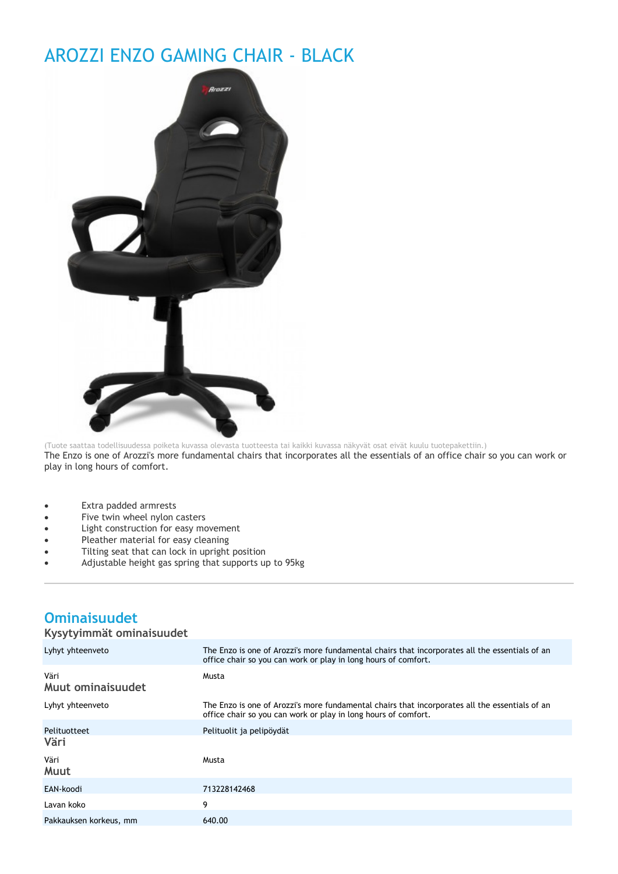## AROZZI ENZO GAMING CHAIR - BLACK



(Tuote saattaa todellisuudessa poiketa kuvassa olevasta tuotteesta tai kaikki kuvassa näkyvät osat eivät kuulu tuotepakettiin.) The Enzo is one of Arozzi's more fundamental chairs that incorporates all the essentials of an office chair so you can work or play in long hours of comfort.

- Extra padded armrests
- Five twin wheel nylon casters
- Light construction for easy movement
- Pleather material for easy cleaning
- Tilting seat that can lock in upright position
- Adjustable height gas spring that supports up to 95kg

## **Ominaisuudet**

## **Kysytyimmät ominaisuudet**

| Lyhyt yhteenveto          | The Enzo is one of Arozzi's more fundamental chairs that incorporates all the essentials of an<br>office chair so you can work or play in long hours of comfort. |
|---------------------------|------------------------------------------------------------------------------------------------------------------------------------------------------------------|
| Väri<br>Muut ominaisuudet | Musta                                                                                                                                                            |
| Lyhyt yhteenveto          | The Enzo is one of Arozzi's more fundamental chairs that incorporates all the essentials of an<br>office chair so you can work or play in long hours of comfort. |
| Pelituotteet<br>Väri      | Pelituolit ja pelipöydät                                                                                                                                         |
| Väri<br>Muut              | Musta                                                                                                                                                            |
| EAN-koodi                 | 713228142468                                                                                                                                                     |
| Lavan koko                | 9                                                                                                                                                                |
| Pakkauksen korkeus, mm    | 640.00                                                                                                                                                           |